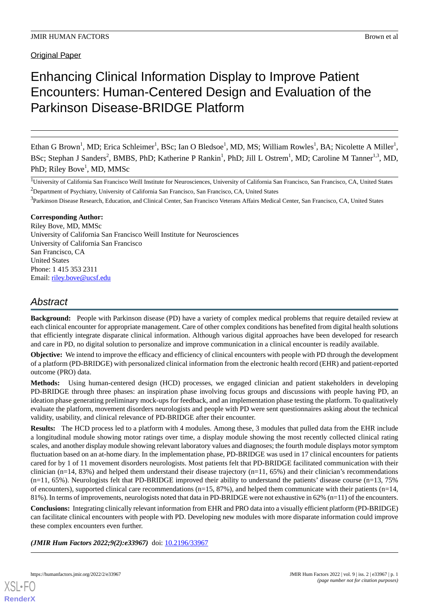# Enhancing Clinical Information Display to Improve Patient Encounters: Human-Centered Design and Evaluation of the Parkinson Disease-BRIDGE Platform

Ethan G Brown<sup>1</sup>, MD; Erica Schleimer<sup>1</sup>, BSc; Ian O Bledsoe<sup>1</sup>, MD, MS; William Rowles<sup>1</sup>, BA; Nicolette A Miller<sup>1</sup>, BSc; Stephan J Sanders<sup>2</sup>, BMBS, PhD; Katherine P Rankin<sup>1</sup>, PhD; Jill L Ostrem<sup>1</sup>, MD; Caroline M Tanner<sup>1,3</sup>, MD, PhD; Riley Bove<sup>1</sup>, MD, MMSc

<sup>1</sup>University of California San Francisco Weill Institute for Neurosciences, University of California San Francisco, San Francisco, CA, United States <sup>2</sup>Department of Psychiatry, University of California San Francisco, San Francisco, CA, United States

<sup>3</sup>Parkinson Disease Research, Education, and Clinical Center, San Francisco Veterans Affairs Medical Center, San Francisco, CA, United States

## **Corresponding Author:**

Riley Bove, MD, MMSc University of California San Francisco Weill Institute for Neurosciences University of California San Francisco San Francisco, CA United States Phone: 1 415 353 2311 Email: [riley.bove@ucsf.edu](mailto:riley.bove@ucsf.edu)

# *Abstract*

**Background:** People with Parkinson disease (PD) have a variety of complex medical problems that require detailed review at each clinical encounter for appropriate management. Care of other complex conditions has benefited from digital health solutions that efficiently integrate disparate clinical information. Although various digital approaches have been developed for research and care in PD, no digital solution to personalize and improve communication in a clinical encounter is readily available.

**Objective:** We intend to improve the efficacy and efficiency of clinical encounters with people with PD through the development of a platform (PD-BRIDGE) with personalized clinical information from the electronic health record (EHR) and patient-reported outcome (PRO) data.

**Methods:** Using human-centered design (HCD) processes, we engaged clinician and patient stakeholders in developing PD-BRIDGE through three phases: an inspiration phase involving focus groups and discussions with people having PD, an ideation phase generating preliminary mock-ups for feedback, and an implementation phase testing the platform. To qualitatively evaluate the platform, movement disorders neurologists and people with PD were sent questionnaires asking about the technical validity, usability, and clinical relevance of PD-BRIDGE after their encounter.

**Results:** The HCD process led to a platform with 4 modules. Among these, 3 modules that pulled data from the EHR include a longitudinal module showing motor ratings over time, a display module showing the most recently collected clinical rating scales, and another display module showing relevant laboratory values and diagnoses; the fourth module displays motor symptom fluctuation based on an at-home diary. In the implementation phase, PD-BRIDGE was used in 17 clinical encounters for patients cared for by 1 of 11 movement disorders neurologists. Most patients felt that PD-BRIDGE facilitated communication with their clinician (n=14, 83%) and helped them understand their disease trajectory (n=11, 65%) and their clinician's recommendations  $(n=11, 65%)$ . Neurologists felt that PD-BRIDGE improved their ability to understand the patients' disease course  $(n=13, 75%)$ of encounters), supported clinical care recommendations  $(n=15, 87%)$ , and helped them communicate with their patients  $(n=14, 14)$ 81%). In terms of improvements, neurologists noted that data in PD-BRIDGE were not exhaustive in 62% (n=11) of the encounters.

**Conclusions:** Integrating clinically relevant information from EHR and PRO data into a visually efficient platform (PD-BRIDGE) can facilitate clinical encounters with people with PD. Developing new modules with more disparate information could improve these complex encounters even further.

*(JMIR Hum Factors 2022;9(2):e33967)* doi: [10.2196/33967](http://dx.doi.org/10.2196/33967)

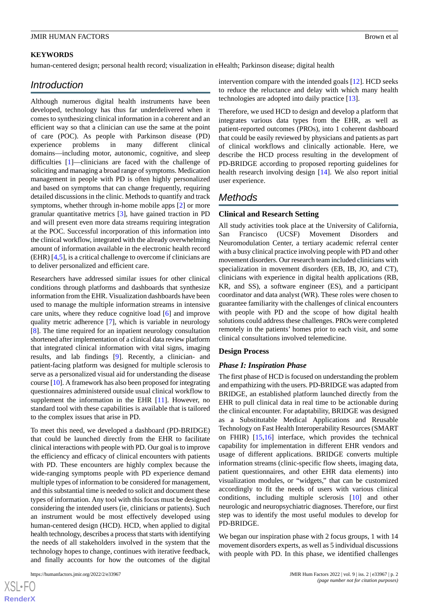#### **KEYWORDS**

human-centered design; personal health record; visualization in eHealth; Parkinson disease; digital health

## *Introduction*

Although numerous digital health instruments have been developed, technology has thus far underdelivered when it comes to synthesizing clinical information in a coherent and an efficient way so that a clinician can use the same at the point of care (POC). As people with Parkinson disease (PD) experience problems in many different clinical domains—including motor, autonomic, cognitive, and sleep difficulties [[1\]](#page-7-0)—clinicians are faced with the challenge of soliciting and managing a broad range of symptoms. Medication management in people with PD is often highly personalized and based on symptoms that can change frequently, requiring detailed discussions in the clinic. Methods to quantify and track symptoms, whether through in-home mobile apps [[2\]](#page-7-1) or more granular quantitative metrics [\[3](#page-7-2)], have gained traction in PD and will present even more data streams requiring integration at the POC. Successful incorporation of this information into the clinical workflow, integrated with the already overwhelming amount of information available in the electronic health record (EHR) [\[4,](#page-7-3)[5](#page-7-4)], is a critical challenge to overcome if clinicians are to deliver personalized and efficient care.

Researchers have addressed similar issues for other clinical conditions through platforms and dashboards that synthesize information from the EHR. Visualization dashboards have been used to manage the multiple information streams in intensive care units, where they reduce cognitive load [\[6](#page-8-0)] and improve quality metric adherence [[7\]](#page-8-1), which is variable in neurology [[8\]](#page-8-2). The time required for an inpatient neurology consultation shortened after implementation of a clinical data review platform that integrated clinical information with vital signs, imaging results, and lab findings [\[9](#page-8-3)]. Recently, a clinician- and patient-facing platform was designed for multiple sclerosis to serve as a personalized visual aid for understanding the disease course [\[10](#page-8-4)]. A framework has also been proposed for integrating questionnaires administered outside usual clinical workflow to supplement the information in the EHR [[11\]](#page-8-5). However, no standard tool with these capabilities is available that is tailored to the complex issues that arise in PD.

To meet this need, we developed a dashboard (PD-BRIDGE) that could be launched directly from the EHR to facilitate clinical interactions with people with PD. Our goal is to improve the efficiency and efficacy of clinical encounters with patients with PD. These encounters are highly complex because the wide-ranging symptoms people with PD experience demand multiple types of information to be considered for management, and this substantial time is needed to solicit and document these types of information. Any tool with this focus must be designed considering the intended users (ie, clinicians or patients). Such an instrument would be most effectively developed using human-centered design (HCD). HCD, when applied to digital health technology, describes a process that starts with identifying the needs of all stakeholders involved in the system that the technology hopes to change, continues with iterative feedback, and finally accounts for how the outcomes of the digital

intervention compare with the intended goals [\[12](#page-8-6)]. HCD seeks to reduce the reluctance and delay with which many health technologies are adopted into daily practice [[13\]](#page-8-7).

Therefore, we used HCD to design and develop a platform that integrates various data types from the EHR, as well as patient-reported outcomes (PROs), into 1 coherent dashboard that could be easily reviewed by physicians and patients as part of clinical workflows and clinically actionable. Here, we describe the HCD process resulting in the development of PD-BRIDGE according to proposed reporting guidelines for health research involving design [\[14](#page-8-8)]. We also report initial user experience.

## *Methods*

#### **Clinical and Research Setting**

All study activities took place at the University of California, San Francisco (UCSF) Movement Disorders and Neuromodulation Center, a tertiary academic referral center with a busy clinical practice involving people with PD and other movement disorders. Our research team included clinicians with specialization in movement disorders (EB, IB, JO, and CT), clinicians with experience in digital health applications (RB, KR, and SS), a software engineer (ES), and a participant coordinator and data analyst (WR). These roles were chosen to guarantee familiarity with the challenges of clinical encounters with people with PD and the scope of how digital health solutions could address these challenges. PROs were completed remotely in the patients' homes prior to each visit, and some clinical consultations involved telemedicine.

#### **Design Process**

#### *Phase I: Inspiration Phase*

The first phase of HCD is focused on understanding the problem and empathizing with the users. PD-BRIDGE was adapted from BRIDGE, an established platform launched directly from the EHR to pull clinical data in real time to be actionable during the clinical encounter. For adaptability, BRIDGE was designed as a Substitutable Medical Applications and Reusable Technology on Fast Health Interoperability Resources (SMART on FHIR) [\[15](#page-8-9),[16\]](#page-8-10) interface, which provides the technical capability for implementation in different EHR vendors and usage of different applications. BRIDGE converts multiple information streams (clinic-specific flow sheets, imaging data, patient questionnaires, and other EHR data elements) into visualization modules, or "widgets," that can be customized accordingly to fit the needs of users with various clinical conditions, including multiple sclerosis [\[10](#page-8-4)] and other neurologic and neuropsychiatric diagnoses. Therefore, our first step was to identify the most useful modules to develop for PD-BRIDGE.

We began our inspiration phase with 2 focus groups, 1 with 14 movement disorders experts, as well as 5 individual discussions with people with PD. In this phase, we identified challenges

 $XS$ -FO **[RenderX](http://www.renderx.com/)**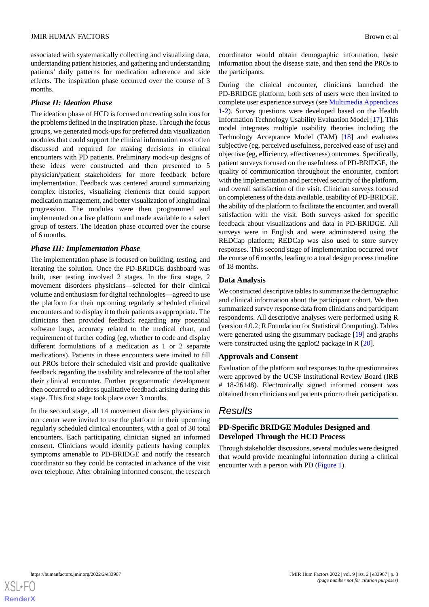associated with systematically collecting and visualizing data, understanding patient histories, and gathering and understanding patients' daily patterns for medication adherence and side effects. The inspiration phase occurred over the course of 3 months.

## *Phase II: Ideation Phase*

The ideation phase of HCD is focused on creating solutions for the problems defined in the inspiration phase. Through the focus groups, we generated mock-ups for preferred data visualization modules that could support the clinical information most often discussed and required for making decisions in clinical encounters with PD patients. Preliminary mock-up designs of these ideas were constructed and then presented to 5 physician/patient stakeholders for more feedback before implementation. Feedback was centered around summarizing complex histories, visualizing elements that could support medication management, and better visualization of longitudinal progression. The modules were then programmed and implemented on a live platform and made available to a select group of testers. The ideation phase occurred over the course of 6 months.

## *Phase III: Implementation Phase*

The implementation phase is focused on building, testing, and iterating the solution. Once the PD-BRIDGE dashboard was built, user testing involved 2 stages. In the first stage, 2 movement disorders physicians—selected for their clinical volume and enthusiasm for digital technologies—agreed to use the platform for their upcoming regularly scheduled clinical encounters and to display it to their patients as appropriate. The clinicians then provided feedback regarding any potential software bugs, accuracy related to the medical chart, and requirement of further coding (eg, whether to code and display different formulations of a medication as 1 or 2 separate medications). Patients in these encounters were invited to fill out PROs before their scheduled visit and provide qualitative feedback regarding the usability and relevance of the tool after their clinical encounter. Further programmatic development then occurred to address qualitative feedback arising during this stage. This first stage took place over 3 months.

In the second stage, all 14 movement disorders physicians in our center were invited to use the platform in their upcoming regularly scheduled clinical encounters, with a goal of 30 total encounters. Each participating clinician signed an informed consent. Clinicians would identify patients having complex symptoms amenable to PD-BRIDGE and notify the research coordinator so they could be contacted in advance of the visit over telephone. After obtaining informed consent, the research

coordinator would obtain demographic information, basic information about the disease state, and then send the PROs to the participants.

During the clinical encounter, clinicians launched the PD-BRIDGE platform; both sets of users were then invited to complete user experience surveys (see [Multimedia Appendices](#page-7-5) [1-](#page-7-5)[2\)](#page-7-6). Survey questions were developed based on the Health Information Technology Usability Evaluation Model [\[17](#page-8-11)]. This model integrates multiple usability theories including the Technology Acceptance Model (TAM) [\[18](#page-8-12)] and evaluates subjective (eg, perceived usefulness, perceived ease of use) and objective (eg, efficiency, effectiveness) outcomes. Specifically, patient surveys focused on the usefulness of PD-BRIDGE, the quality of communication throughout the encounter, comfort with the implementation and perceived security of the platform, and overall satisfaction of the visit. Clinician surveys focused on completeness of the data available, usability of PD-BRIDGE, the ability of the platform to facilitate the encounter, and overall satisfaction with the visit. Both surveys asked for specific feedback about visualizations and data in PD-BRIDGE. All surveys were in English and were administered using the REDCap platform; REDCap was also used to store survey responses. This second stage of implementation occurred over the course of 6 months, leading to a total design process timeline of 18 months.

## **Data Analysis**

We constructed descriptive tables to summarize the demographic and clinical information about the participant cohort. We then summarized survey response data from clinicians and participant respondents. All descriptive analyses were performed using R (version 4.0.2; R Foundation for Statistical Computing). Tables were generated using the gtsummary package [[19\]](#page-8-13) and graphs were constructed using the ggplot2 package in R [\[20](#page-8-14)].

## **Approvals and Consent**

Evaluation of the platform and responses to the questionnaires were approved by the UCSF Institutional Review Board (IRB # 18-26148). Electronically signed informed consent was obtained from clinicians and patients prior to their participation.

# *Results*

## **PD-Specific BRIDGE Modules Designed and Developed Through the HCD Process**

Through stakeholder discussions, several modules were designed that would provide meaningful information during a clinical encounter with a person with PD ([Figure 1](#page-3-0)).

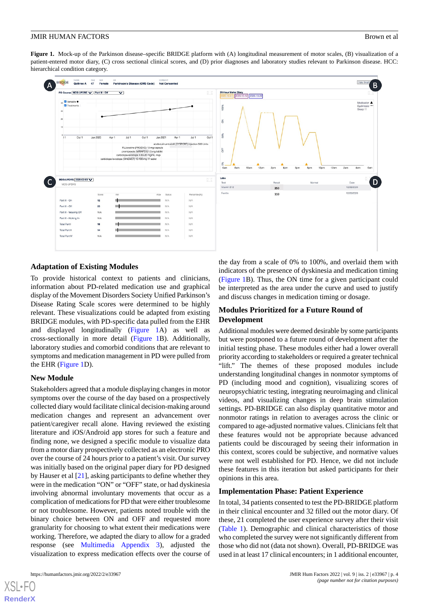<span id="page-3-0"></span>**Figure 1.** Mock-up of the Parkinson disease–specific BRIDGE platform with (A) longitudinal measurement of motor scales, (B) visualization of a patient-entered motor diary, (C) cross sectional clinical scores, and (D) prior diagnoses and laboratory studies relevant to Parkinson disease. HCC: hierarchical condition category.

| PD Course MDS-UPDRS V   Part III - Off                                                             |            | $\overline{\mathbf{v}}$                                                                   |                                                                          | D                                                | <b>24-Hour Motor Diary</b><br>2020-10-12 2020-10-22 |                               |                            |                                         |
|----------------------------------------------------------------------------------------------------|------------|-------------------------------------------------------------------------------------------|--------------------------------------------------------------------------|--------------------------------------------------|-----------------------------------------------------|-------------------------------|----------------------------|-----------------------------------------|
| √ Variable ●<br>Treatments<br>30 <sup>°</sup><br>20 <sub>1</sub><br>10 <sub>1</sub><br>Oct 1<br>11 | Jan 2020   | Jul 1<br>Apr 1                                                                            | Oct 1<br>Jan 2021                                                        | Oct 1<br>Jul 1<br>Apr 1                          | 100%<br>š<br>š                                      |                               |                            | Medication A<br>Dyskinesia ***<br>Sleep |
|                                                                                                    |            |                                                                                           | FLUoxetine (PROZAC) 10 mg capsule<br>pramipexole (MIRAPEX) 1.5 mg tablet | abobotulinumtoxinA (DYSPORT) injection 500 Units | <b>GF</b>                                           |                               |                            |                                         |
| MDS-UPDRS 2020-02-03                                                                               |            | carbidopa-levodopa 4.63-20 mg/mL insp<br>carbidopa-levodopa (SINEMET) 10-100 mg IR tablet |                                                                          |                                                  | š<br>6am<br>10am<br>8am<br>Labs                     | 12pm<br>2pm<br>4 <sub>0</sub> | 10pm<br>12am<br>8pm<br>6pm | 2am<br>4am                              |
| MDS-UPDRS                                                                                          |            |                                                                                           |                                                                          | D                                                | Test                                                | Result                        | Normal                     | Date                                    |
|                                                                                                    |            |                                                                                           |                                                                          |                                                  | Vitamin B12                                         | 350                           |                            | 6am<br>12/28/2020                       |
|                                                                                                    | Score      | min                                                                                       | <b>Status</b><br>max                                                     | Percentile (N)                                   | Ferritin                                            | 110                           |                            | 12/28/2020                              |
| Part III - On                                                                                      | 12         |                                                                                           | N/A                                                                      | N/A                                              |                                                     |                               |                            |                                         |
| Part III - Off                                                                                     | 23         |                                                                                           | N/A                                                                      | N/A                                              |                                                     |                               |                            |                                         |
| Part III - Wearing Off                                                                             | <b>N/A</b> |                                                                                           | N/A                                                                      | N/A                                              |                                                     |                               |                            |                                         |
| Part III - Kicking In                                                                              | <b>N/A</b> |                                                                                           | N/A                                                                      | N/A                                              |                                                     |                               |                            |                                         |
| <b>Total Part I</b>                                                                                | 18         |                                                                                           | N/A                                                                      | N/A                                              |                                                     |                               |                            |                                         |
| <b>Total Part II</b>                                                                               | 14         |                                                                                           | N/A                                                                      | N/A                                              |                                                     |                               |                            |                                         |

#### **Adaptation of Existing Modules**

To provide historical context to patients and clinicians, information about PD-related medication use and graphical display of the Movement Disorders Society Unified Parkinson's Disease Rating Scale scores were determined to be highly relevant. These visualizations could be adapted from existing BRIDGE modules, with PD-specific data pulled from the EHR and displayed longitudinally [\(Figure 1A](#page-3-0)) as well as cross-sectionally in more detail ([Figure 1](#page-3-0)B). Additionally, laboratory studies and comorbid conditions that are relevant to symptoms and medication management in PD were pulled from the EHR [\(Figure 1D](#page-3-0)).

#### **New Module**

Stakeholders agreed that a module displaying changes in motor symptoms over the course of the day based on a prospectively collected diary would facilitate clinical decision-making around medication changes and represent an advancement over patient/caregiver recall alone. Having reviewed the existing literature and iOS/Android app stores for such a feature and finding none, we designed a specific module to visualize data from a motor diary prospectively collected as an electronic PRO over the course of 24 hours prior to a patient's visit. Our survey was initially based on the original paper diary for PD designed by Hauser et al [[21\]](#page-8-15), asking participants to define whether they were in the medication "ON" or "OFF" state, or had dyskinesia involving abnormal involuntary movements that occur as a complication of medications for PD that were either troublesome or not troublesome. However, patients noted trouble with the binary choice between ON and OFF and requested more granularity for choosing to what extent their medications were working. Therefore, we adapted the diary to allow for a graded response (see [Multimedia Appendix 3\)](#page-7-7), adjusted the visualization to express medication effects over the course of

[XSL](http://www.w3.org/Style/XSL)•FO **[RenderX](http://www.renderx.com/)**

the day from a scale of 0% to 100%, and overlaid them with indicators of the presence of dyskinesia and medication timing ([Figure 1](#page-3-0)B). Thus, the ON time for a given participant could be interpreted as the area under the curve and used to justify and discuss changes in medication timing or dosage.

## **Modules Prioritized for a Future Round of Development**

Additional modules were deemed desirable by some participants but were postponed to a future round of development after the initial testing phase. These modules either had a lower overall priority according to stakeholders or required a greater technical "lift." The themes of these proposed modules include understanding longitudinal changes in nonmotor symptoms of PD (including mood and cognition), visualizing scores of neuropsychiatric testing, integrating neuroimaging and clinical videos, and visualizing changes in deep brain stimulation settings. PD-BRIDGE can also display quantitative motor and nonmotor ratings in relation to averages across the clinic or compared to age-adjusted normative values. Clinicians felt that these features would not be appropriate because advanced patients could be discouraged by seeing their information in this context, scores could be subjective, and normative values were not well established for PD. Hence, we did not include these features in this iteration but asked participants for their opinions in this area.

#### **Implementation Phase: Patient Experience**

In total, 34 patients consented to test the PD-BRIDGE platform in their clinical encounter and 32 filled out the motor diary. Of these, 21 completed the user experience survey after their visit ([Table 1\)](#page-4-0). Demographic and clinical characteristics of those who completed the survey were not significantly different from those who did not (data not shown). Overall, PD-BRIDGE was used in at least 17 clinical encounters; in 1 additional encounter,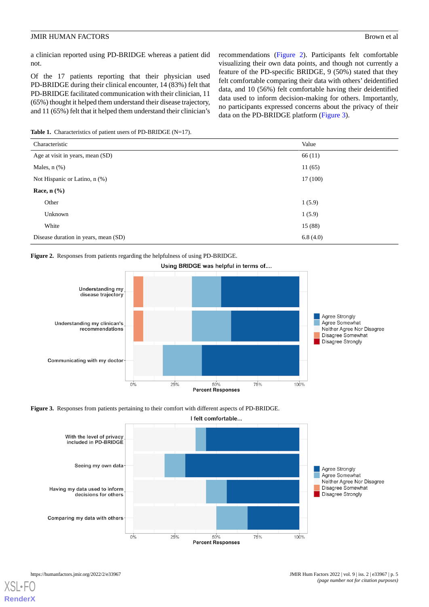a clinician reported using PD-BRIDGE whereas a patient did not.

Of the 17 patients reporting that their physician used PD-BRIDGE during their clinical encounter, 14 (83%) felt that PD-BRIDGE facilitated communication with their clinician, 11 (65%) thought it helped them understand their disease trajectory, and 11 (65%) felt that it helped them understand their clinician's recommendations ([Figure 2\)](#page-4-1). Participants felt comfortable visualizing their own data points, and though not currently a feature of the PD-specific BRIDGE, 9 (50%) stated that they felt comfortable comparing their data with others' deidentified data, and 10 (56%) felt comfortable having their deidentified data used to inform decision-making for others. Importantly, no participants expressed concerns about the privacy of their data on the PD-BRIDGE platform [\(Figure 3\)](#page-4-2).

<span id="page-4-0"></span>**Table 1.** Characteristics of patient users of PD-BRIDGE (N=17).

| Characteristic                       | Value    |
|--------------------------------------|----------|
| Age at visit in years, mean (SD)     | 66(11)   |
| Males, $n$ $(\%)$                    | 11(65)   |
| Not Hispanic or Latino, n (%)        | 17(100)  |
| Race, $n$ $(\%)$                     |          |
| Other                                | 1(5.9)   |
| Unknown                              | 1(5.9)   |
| White                                | 15(88)   |
| Disease duration in years, mean (SD) | 6.8(4.0) |

<span id="page-4-1"></span>**Figure 2.** Responses from patients regarding the helpfulness of using PD-BRIDGE.



<span id="page-4-2"></span>**Figure 3.** Responses from patients pertaining to their comfort with different aspects of PD-BRIDGE.



[XSL](http://www.w3.org/Style/XSL)•FO **[RenderX](http://www.renderx.com/)**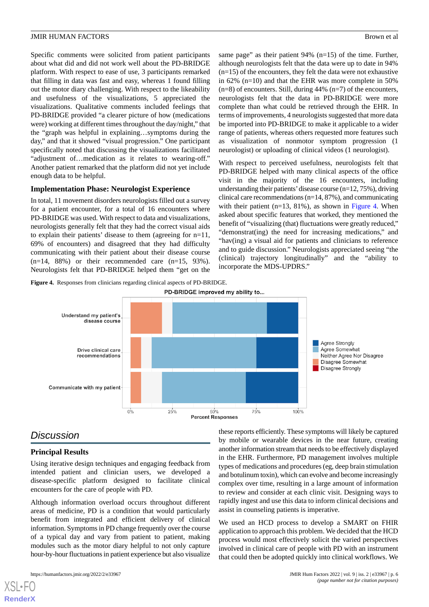Specific comments were solicited from patient participants about what did and did not work well about the PD-BRIDGE platform. With respect to ease of use, 3 participants remarked that filling in data was fast and easy, whereas 1 found filling out the motor diary challenging. With respect to the likeability and usefulness of the visualizations, 5 appreciated the visualizations. Qualitative comments included feelings that PD-BRIDGE provided "a clearer picture of how (medications were) working at different times throughout the day/night," that the "graph was helpful in explaining…symptoms during the day," and that it showed "visual progression." One participant specifically noted that discussing the visualizations facilitated "adjustment of…medication as it relates to wearing-off." Another patient remarked that the platform did not yet include enough data to be helpful.

#### **Implementation Phase: Neurologist Experience**

In total, 11 movement disorders neurologists filled out a survey for a patient encounter, for a total of 16 encounters where PD-BRIDGE was used. With respect to data and visualizations, neurologists generally felt that they had the correct visual aids to explain their patients' disease to them (agreeing for n=11, 69% of encounters) and disagreed that they had difficulty communicating with their patient about their disease course  $(n=14, 88%)$  or their recommended care  $(n=15, 93%).$ Neurologists felt that PD-BRIDGE helped them "get on the

<span id="page-5-0"></span>**Figure 4.** Responses from clinicians regarding clinical aspects of PD-BRIDGE.

same page" as their patient 94% (n=15) of the time. Further, although neurologists felt that the data were up to date in 94% (n=15) of the encounters, they felt the data were not exhaustive in 62% (n=10) and that the EHR was more complete in 50%  $(n=8)$  of encounters. Still, during 44%  $(n=7)$  of the encounters, neurologists felt that the data in PD-BRIDGE were more complete than what could be retrieved through the EHR. In terms of improvements, 4 neurologists suggested that more data be imported into PD-BRIDGE to make it applicable to a wider range of patients, whereas others requested more features such as visualization of nonmotor symptom progression (1 neurologist) or uploading of clinical videos (1 neurologist).

With respect to perceived usefulness, neurologists felt that PD-BRIDGE helped with many clinical aspects of the office visit in the majority of the 16 encounters, including understanding their patients'disease course (n=12, 75%), driving clinical care recommendations (n=14, 87%), and communicating with their patient  $(n=13, 81\%)$ , as shown in [Figure 4.](#page-5-0) When asked about specific features that worked, they mentioned the benefit of "visualizing (that) fluctuations were greatly reduced," "demonstrat(ing) the need for increasing medications," and "hav(ing) a visual aid for patients and clinicians to reference and to guide discussion." Neurologists appreciated seeing "the (clinical) trajectory longitudinally" and the "ability to incorporate the MDS-UPDRS."



## *Discussion*

#### **Principal Results**

Using iterative design techniques and engaging feedback from intended patient and clinician users, we developed a disease-specific platform designed to facilitate clinical encounters for the care of people with PD.

Although information overload occurs throughout different areas of medicine, PD is a condition that would particularly benefit from integrated and efficient delivery of clinical information. Symptoms in PD change frequently over the course of a typical day and vary from patient to patient, making modules such as the motor diary helpful to not only capture hour-by-hour fluctuations in patient experience but also visualize

[XSL](http://www.w3.org/Style/XSL)•FO **[RenderX](http://www.renderx.com/)**

these reports efficiently. These symptoms will likely be captured by mobile or wearable devices in the near future, creating another information stream that needs to be effectively displayed in the EHR. Furthermore, PD management involves multiple types of medications and procedures (eg, deep brain stimulation and botulinum toxin), which can evolve and become increasingly complex over time, resulting in a large amount of information to review and consider at each clinic visit. Designing ways to rapidly ingest and use this data to inform clinical decisions and assist in counseling patients is imperative.

We used an HCD process to develop a SMART on FHIR application to approach this problem. We decided that the HCD process would most effectively solicit the varied perspectives involved in clinical care of people with PD with an instrument that could then be adopted quickly into clinical workflows. We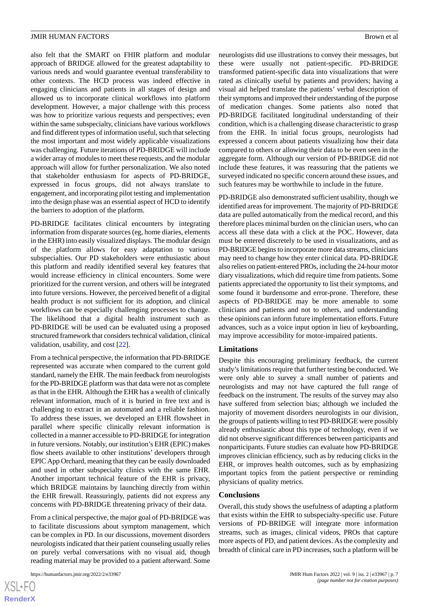also felt that the SMART on FHIR platform and modular approach of BRIDGE allowed for the greatest adaptability to various needs and would guarantee eventual transferability to other contexts. The HCD process was indeed effective in engaging clinicians and patients in all stages of design and allowed us to incorporate clinical workflows into platform development. However, a major challenge with this process was how to prioritize various requests and perspectives; even within the same subspecialty, clinicians have various workflows and find different types of information useful, such that selecting the most important and most widely applicable visualizations was challenging. Future iterations of PD-BRIDGE will include a wider array of modules to meet these requests, and the modular approach will allow for further personalization. We also noted that stakeholder enthusiasm for aspects of PD-BRIDGE, expressed in focus groups, did not always translate to engagement, and incorporating pilot testing and implementation into the design phase was an essential aspect of HCD to identify the barriers to adoption of the platform.

PD-BRIDGE facilitates clinical encounters by integrating information from disparate sources (eg, home diaries, elements in the EHR) into easily visualized displays. The modular design of the platform allows for easy adaptation to various subspecialties. Our PD stakeholders were enthusiastic about this platform and readily identified several key features that would increase efficiency in clinical encounters. Some were prioritized for the current version, and others will be integrated into future versions. However, the perceived benefit of a digital health product is not sufficient for its adoption, and clinical workflows can be especially challenging processes to change. The likelihood that a digital health instrument such as PD-BRIDGE will be used can be evaluated using a proposed structured framework that considers technical validation, clinical validation, usability, and cost [[22\]](#page-8-16).

From a technical perspective, the information that PD-BRIDGE represented was accurate when compared to the current gold standard, namely the EHR. The main feedback from neurologists for the PD-BRIDGE platform was that data were not as complete as that in the EHR. Although the EHR has a wealth of clinically relevant information, much of it is buried in free text and is challenging to extract in an automated and a reliable fashion. To address these issues, we developed an EHR flowsheet in parallel where specific clinically relevant information is collected in a manner accessible to PD-BRIDGE for integration in future versions. Notably, our institution's EHR (EPIC) makes flow sheets available to other institutions' developers through EPIC App Orchard, meaning that they can be easily downloaded and used in other subspecialty clinics with the same EHR. Another important technical feature of the EHR is privacy, which BRIDGE maintains by launching directly from within the EHR firewall. Reassuringly, patients did not express any concerns with PD-BRIDGE threatening privacy of their data.

From a clinical perspective, the major goal of PD-BRIDGE was to facilitate discussions about symptom management, which can be complex in PD. In our discussions, movement disorders neurologists indicated that their patient counseling usually relies on purely verbal conversations with no visual aid, though reading material may be provided to a patient afterward. Some neurologists did use illustrations to convey their messages, but these were usually not patient-specific. PD-BRIDGE transformed patient-specific data into visualizations that were rated as clinically useful by patients and providers; having a visual aid helped translate the patients' verbal description of their symptoms and improved their understanding of the purpose of medication changes. Some patients also noted that PD-BRIDGE facilitated longitudinal understanding of their condition, which is a challenging disease characteristic to grasp from the EHR. In initial focus groups, neurologists had expressed a concern about patients visualizing how their data compared to others or allowing their data to be even seen in the aggregate form. Although our version of PD-BRIDGE did not include these features, it was reassuring that the patients we surveyed indicated no specific concern around these issues, and such features may be worthwhile to include in the future.

PD-BRIDGE also demonstrated sufficient usability, though we identified areas for improvement. The majority of PD-BRIDGE data are pulled automatically from the medical record, and this therefore places minimal burden on the clinician users, who can access all these data with a click at the POC. However, data must be entered discretely to be used in visualizations, and as PD-BRIDGE begins to incorporate more data streams, clinicians may need to change how they enter clinical data. PD-BRIDGE also relies on patient-entered PROs, including the 24-hour motor diary visualizations, which did require time from patients. Some patients appreciated the opportunity to list their symptoms, and some found it burdensome and error-prone. Therefore, these aspects of PD-BRIDGE may be more amenable to some clinicians and patients and not to others, and understanding these opinions can inform future implementation efforts. Future advances, such as a voice input option in lieu of keyboarding, may improve accessibility for motor-impaired patients.

#### **Limitations**

Despite this encouraging preliminary feedback, the current study's limitations require that further testing be conducted. We were only able to survey a small number of patients and neurologists and may not have captured the full range of feedback on the instrument. The results of the survey may also have suffered from selection bias; although we included the majority of movement disorders neurologists in our division, the groups of patients willing to test PD-BRIDGE were possibly already enthusiastic about this type of technology, even if we did not observe significant differences between participants and nonparticipants. Future studies can evaluate how PD-BRIDGE improves clinician efficiency, such as by reducing clicks in the EHR, or improves health outcomes, such as by emphasizing important topics from the patient perspective or reminding physicians of quality metrics.

#### **Conclusions**

Overall, this study shows the usefulness of adapting a platform that exists within the EHR to subspecialty-specific use. Future versions of PD-BRIDGE will integrate more information streams, such as images, clinical videos, PROs that capture more aspects of PD, and patient devices. As the complexity and breadth of clinical care in PD increases, such a platform will be

[XSL](http://www.w3.org/Style/XSL)•FO **[RenderX](http://www.renderx.com/)**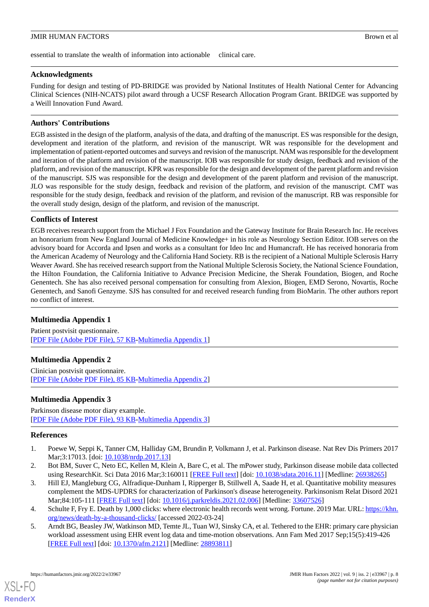essential to translate the wealth of information into actionable clinical care.

## **Acknowledgments**

Funding for design and testing of PD-BRIDGE was provided by National Institutes of Health National Center for Advancing Clinical Sciences (NIH-NCATS) pilot award through a UCSF Research Allocation Program Grant. BRIDGE was supported by a Weill Innovation Fund Award.

## **Authors' Contributions**

EGB assisted in the design of the platform, analysis of the data, and drafting of the manuscript. ES was responsible for the design, development and iteration of the platform, and revision of the manuscript. WR was responsible for the development and implementation of patient-reported outcomes and surveys and revision of the manuscript. NAM was responsible for the development and iteration of the platform and revision of the manuscript. IOB was responsible for study design, feedback and revision of the platform, and revision of the manuscript. KPR was responsible for the design and development of the parent platform and revision of the manuscript. SJS was responsible for the design and development of the parent platform and revision of the manuscript. JLO was responsible for the study design, feedback and revision of the platform, and revision of the manuscript. CMT was responsible for the study design, feedback and revision of the platform, and revision of the manuscript. RB was responsible for the overall study design, design of the platform, and revision of the manuscript.

## **Conflicts of Interest**

EGB receives research support from the Michael J Fox Foundation and the Gateway Institute for Brain Research Inc. He receives an honorarium from New England Journal of Medicine Knowledge+ in his role as Neurology Section Editor. IOB serves on the advisory board for Accorda and Ipsen and works as a consultant for Ideo Inc and Humancraft. He has received honoraria from the American Academy of Neurology and the California Hand Society. RB is the recipient of a National Multiple Sclerosis Harry Weaver Award. She has received research support from the National Multiple Sclerosis Society, the National Science Foundation, the Hilton Foundation, the California Initiative to Advance Precision Medicine, the Sherak Foundation, Biogen, and Roche Genentech. She has also received personal compensation for consulting from Alexion, Biogen, EMD Serono, Novartis, Roche Genentech, and Sanofi Genzyme. SJS has consulted for and received research funding from BioMarin. The other authors report no conflict of interest.

## <span id="page-7-6"></span><span id="page-7-5"></span>**Multimedia Appendix 1**

Patient postvisit questionnaire. [[PDF File \(Adobe PDF File\), 57 KB](https://jmir.org/api/download?alt_name=humanfactors_v9i2e33967_app1.pdf&filename=26fb494cb2a4c1c5dad0b68f24b7d1a8.pdf)-[Multimedia Appendix 1\]](https://jmir.org/api/download?alt_name=humanfactors_v9i2e33967_app1.pdf&filename=26fb494cb2a4c1c5dad0b68f24b7d1a8.pdf)

## <span id="page-7-7"></span>**Multimedia Appendix 2**

Clinician postvisit questionnaire. [[PDF File \(Adobe PDF File\), 85 KB](https://jmir.org/api/download?alt_name=humanfactors_v9i2e33967_app2.pdf&filename=4e3b8eb329ca3553db576e993e4452d5.pdf)-[Multimedia Appendix 2\]](https://jmir.org/api/download?alt_name=humanfactors_v9i2e33967_app2.pdf&filename=4e3b8eb329ca3553db576e993e4452d5.pdf)

## <span id="page-7-0"></span>**Multimedia Appendix 3**

<span id="page-7-1"></span>Parkinson disease motor diary example. [[PDF File \(Adobe PDF File\), 93 KB](https://jmir.org/api/download?alt_name=humanfactors_v9i2e33967_app3.pdf&filename=a797c2fe81474d3f349a01cfb47c85ed.pdf)-[Multimedia Appendix 3\]](https://jmir.org/api/download?alt_name=humanfactors_v9i2e33967_app3.pdf&filename=a797c2fe81474d3f349a01cfb47c85ed.pdf)

## <span id="page-7-2"></span>**References**

- 1. Poewe W, Seppi K, Tanner CM, Halliday GM, Brundin P, Volkmann J, et al. Parkinson disease. Nat Rev Dis Primers 2017 Mar;3:17013. [doi: [10.1038/nrdp.2017.13\]](http://dx.doi.org/10.1038/nrdp.2017.13)
- <span id="page-7-3"></span>2. Bot BM, Suver C, Neto EC, Kellen M, Klein A, Bare C, et al. The mPower study, Parkinson disease mobile data collected using ResearchKit. Sci Data 2016 Mar;3:160011 [\[FREE Full text\]](http://europepmc.org/abstract/MED/26938265) [doi: [10.1038/sdata.2016.11\]](http://dx.doi.org/10.1038/sdata.2016.11) [Medline: [26938265\]](http://www.ncbi.nlm.nih.gov/entrez/query.fcgi?cmd=Retrieve&db=PubMed&list_uids=26938265&dopt=Abstract)
- <span id="page-7-4"></span>3. Hill EJ, Mangleburg CG, Alfradique-Dunham I, Ripperger B, Stillwell A, Saade H, et al. Quantitative mobility measures complement the MDS-UPDRS for characterization of Parkinson's disease heterogeneity. Parkinsonism Relat Disord 2021 Mar;84:105-111 [[FREE Full text](https://linkinghub.elsevier.com/retrieve/pii/S1353-8020(21)00047-X)] [doi: [10.1016/j.parkreldis.2021.02.006\]](http://dx.doi.org/10.1016/j.parkreldis.2021.02.006) [Medline: [33607526](http://www.ncbi.nlm.nih.gov/entrez/query.fcgi?cmd=Retrieve&db=PubMed&list_uids=33607526&dopt=Abstract)]
- 4. Schulte F, Fry E. Death by 1,000 clicks: where electronic health records went wrong. Fortune. 2019 Mar. URL: [https://khn.](https://khn.org/news/death-by-a-thousand-clicks/) [org/news/death-by-a-thousand-clicks/](https://khn.org/news/death-by-a-thousand-clicks/) [accessed 2022-03-24]
- 5. Arndt BG, Beasley JW, Watkinson MD, Temte JL, Tuan WJ, Sinsky CA, et al. Tethered to the EHR: primary care physician workload assessment using EHR event log data and time-motion observations. Ann Fam Med 2017 Sep;15(5):419-426 [[FREE Full text](http://www.annfammed.org/cgi/pmidlookup?view=long&pmid=28893811)] [doi: [10.1370/afm.2121\]](http://dx.doi.org/10.1370/afm.2121) [Medline: [28893811\]](http://www.ncbi.nlm.nih.gov/entrez/query.fcgi?cmd=Retrieve&db=PubMed&list_uids=28893811&dopt=Abstract)

[XSL](http://www.w3.org/Style/XSL)•FO **[RenderX](http://www.renderx.com/)**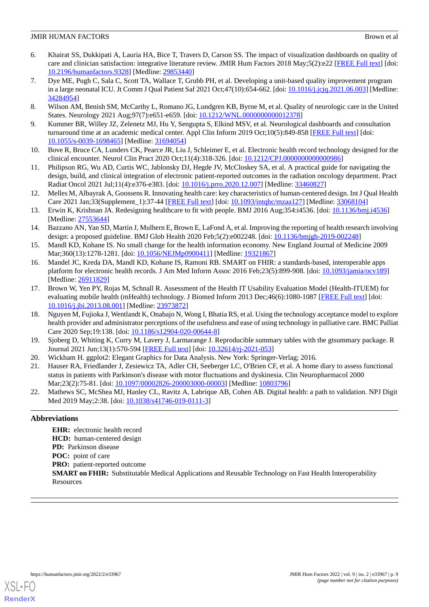- <span id="page-8-0"></span>6. Khairat SS, Dukkipati A, Lauria HA, Bice T, Travers D, Carson SS. The impact of visualization dashboards on quality of care and clinician satisfaction: integrative literature review. JMIR Hum Factors 2018 May;5(2):e22 [[FREE Full text\]](http://humanfactors.jmir.org/2018/2/e22/) [doi: [10.2196/humanfactors.9328\]](http://dx.doi.org/10.2196/humanfactors.9328) [Medline: [29853440](http://www.ncbi.nlm.nih.gov/entrez/query.fcgi?cmd=Retrieve&db=PubMed&list_uids=29853440&dopt=Abstract)]
- <span id="page-8-1"></span>7. Dye ME, Pugh C, Sala C, Scott TA, Wallace T, Grubb PH, et al. Developing a unit-based quality improvement program in a large neonatal ICU. Jt Comm J Qual Patient Saf 2021 Oct;47(10):654-662. [doi: [10.1016/j.jcjq.2021.06.003\]](http://dx.doi.org/10.1016/j.jcjq.2021.06.003) [Medline: [34284954](http://www.ncbi.nlm.nih.gov/entrez/query.fcgi?cmd=Retrieve&db=PubMed&list_uids=34284954&dopt=Abstract)]
- <span id="page-8-3"></span><span id="page-8-2"></span>8. Wilson AM, Benish SM, McCarthy L, Romano JG, Lundgren KB, Byrne M, et al. Quality of neurologic care in the United States. Neurology 2021 Aug;97(7):e651-e659. [doi: [10.1212/WNL.0000000000012378\]](http://dx.doi.org/10.1212/WNL.0000000000012378)
- <span id="page-8-4"></span>9. Kummer BR, Willey JZ, Zelenetz MJ, Hu Y, Sengupta S, Elkind MSV, et al. Neurological dashboards and consultation turnaround time at an academic medical center. Appl Clin Inform 2019 Oct;10(5):849-858 [[FREE Full text](http://europepmc.org/abstract/MED/31694054)] [doi: [10.1055/s-0039-1698465](http://dx.doi.org/10.1055/s-0039-1698465)] [Medline: [31694054](http://www.ncbi.nlm.nih.gov/entrez/query.fcgi?cmd=Retrieve&db=PubMed&list_uids=31694054&dopt=Abstract)]
- <span id="page-8-5"></span>10. Bove R, Bruce CA, Lunders CK, Pearce JR, Liu J, Schleimer E, et al. Electronic health record technology designed for the clinical encounter. Neurol Clin Pract 2020 Oct;11(4):318-326. [doi: [10.1212/CPJ.0000000000000986](http://dx.doi.org/10.1212/CPJ.0000000000000986)]
- <span id="page-8-6"></span>11. Philipson RG, Wu AD, Curtis WC, Jablonsky DJ, Hegde JV, McCloskey SA, et al. A practical guide for navigating the design, build, and clinical integration of electronic patient-reported outcomes in the radiation oncology department. Pract Radiat Oncol 2021 Jul;11(4):e376-e383. [doi: [10.1016/j.prro.2020.12.007\]](http://dx.doi.org/10.1016/j.prro.2020.12.007) [Medline: [33460827\]](http://www.ncbi.nlm.nih.gov/entrez/query.fcgi?cmd=Retrieve&db=PubMed&list_uids=33460827&dopt=Abstract)
- <span id="page-8-7"></span>12. Melles M, Albayrak A, Goossens R. Innovating health care: key characteristics of human-centered design. Int J Qual Health Care 2021 Jan;33(Supplement\_1):37-44 [[FREE Full text](http://europepmc.org/abstract/MED/33068104)] [doi: [10.1093/intqhc/mzaa127\]](http://dx.doi.org/10.1093/intqhc/mzaa127) [Medline: [33068104\]](http://www.ncbi.nlm.nih.gov/entrez/query.fcgi?cmd=Retrieve&db=PubMed&list_uids=33068104&dopt=Abstract)
- <span id="page-8-8"></span>13. Erwin K, Krishnan JA. Redesigning healthcare to fit with people. BMJ 2016 Aug;354:i4536. [doi: [10.1136/bmj.i4536](http://dx.doi.org/10.1136/bmj.i4536)] [Medline: [27553644](http://www.ncbi.nlm.nih.gov/entrez/query.fcgi?cmd=Retrieve&db=PubMed&list_uids=27553644&dopt=Abstract)]
- <span id="page-8-9"></span>14. Bazzano AN, Yan SD, Martin J, Mulhern E, Brown E, LaFond A, et al. Improving the reporting of health research involving design: a proposed guideline. BMJ Glob Health 2020 Feb;5(2):e002248. [doi: [10.1136/bmjgh-2019-002248\]](http://dx.doi.org/10.1136/bmjgh-2019-002248)
- <span id="page-8-10"></span>15. Mandl KD, Kohane IS. No small change for the health information economy. New England Journal of Medicine 2009 Mar;360(13):1278-1281. [doi: [10.1056/NEJMp0900411\]](http://dx.doi.org/10.1056/NEJMp0900411) [Medline: [19321867](http://www.ncbi.nlm.nih.gov/entrez/query.fcgi?cmd=Retrieve&db=PubMed&list_uids=19321867&dopt=Abstract)]
- <span id="page-8-11"></span>16. Mandel JC, Kreda DA, Mandl KD, Kohane IS, Ramoni RB. SMART on FHIR: a standards-based, interoperable apps platform for electronic health records. J Am Med Inform Assoc 2016 Feb;23(5):899-908. [doi: [10.1093/jamia/ocv189](http://dx.doi.org/10.1093/jamia/ocv189)] [Medline: [26911829](http://www.ncbi.nlm.nih.gov/entrez/query.fcgi?cmd=Retrieve&db=PubMed&list_uids=26911829&dopt=Abstract)]
- <span id="page-8-12"></span>17. Brown W, Yen PY, Rojas M, Schnall R. Assessment of the Health IT Usability Evaluation Model (Health-ITUEM) for evaluating mobile health (mHealth) technology. J Biomed Inform 2013 Dec;46(6):1080-1087 [[FREE Full text](http://linkinghub.elsevier.com/retrieve/pii/S1532-0464(13)00116-0)] [doi: [10.1016/j.jbi.2013.08.001](http://dx.doi.org/10.1016/j.jbi.2013.08.001)] [Medline: [23973872\]](http://www.ncbi.nlm.nih.gov/entrez/query.fcgi?cmd=Retrieve&db=PubMed&list_uids=23973872&dopt=Abstract)
- <span id="page-8-14"></span><span id="page-8-13"></span>18. Nguyen M, Fujioka J, Wentlandt K, Onabajo N, Wong I, Bhatia RS, et al. Using the technology acceptance model to explore health provider and administrator perceptions of the usefulness and ease of using technology in palliative care. BMC Palliat Care 2020 Sep;19:138. [doi: [10.1186/s12904-020-00644-8\]](http://dx.doi.org/10.1186/s12904-020-00644-8)
- <span id="page-8-15"></span>19. Sjoberg D, Whiting K, Curry M, Lavery J, Larmarange J. Reproducible summary tables with the gtsummary package. R Journal 2021 Jun;13(1):570-594 [\[FREE Full text\]](https://doi.org/10.32614/RJ-2021-053) [doi: [10.32614/rj-2021-053\]](http://dx.doi.org/10.32614/rj-2021-053)
- <span id="page-8-16"></span>20. Wickham H. ggplot2: Elegant Graphics for Data Analysis. New York: Springer-Verlag; 2016.
- 21. Hauser RA, Friedlander J, Zesiewicz TA, Adler CH, Seeberger LC, O'Brien CF, et al. A home diary to assess functional status in patients with Parkinson's disease with motor fluctuations and dyskinesia. Clin Neuropharmacol 2000 Mar;23(2):75-81. [doi: [10.1097/00002826-200003000-00003](http://dx.doi.org/10.1097/00002826-200003000-00003)] [Medline: [10803796\]](http://www.ncbi.nlm.nih.gov/entrez/query.fcgi?cmd=Retrieve&db=PubMed&list_uids=10803796&dopt=Abstract)
- 22. Mathews SC, McShea MJ, Hanley CL, Ravitz A, Labrique AB, Cohen AB. Digital health: a path to validation. NPJ Digit Med 2019 May; 2:38. [doi: [10.1038/s41746-019-0111-3](http://dx.doi.org/10.1038/s41746-019-0111-3)]

## **Abbreviations**

**EHR:** electronic health record **HCD:** human-centered design **PD:** Parkinson disease **POC:** point of care **PRO:** patient-reported outcome **SMART on FHIR:** Substitutable Medical Applications and Reusable Technology on Fast Health Interoperability Resources